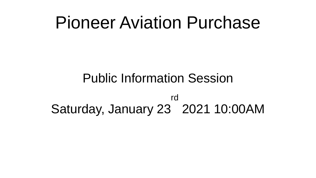#### Pioneer Aviation Purchase

#### Public Information Session

Saturday, January 23 2021 10:00AMrd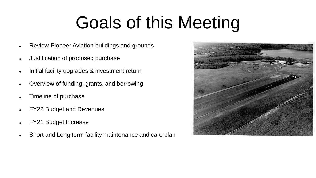### Goals of this Meeting

- Review Pioneer Aviation buildings and grounds
- Justification of proposed purchase
- Initial facility upgrades & investment return
- Overview of funding, grants, and borrowing
- Timeline of purchase
- FY22 Budget and Revenues
- FY21 Budget Increase
- . Short and Long term facility maintenance and care plan

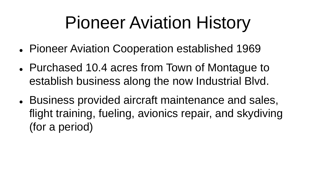#### Pioneer Aviation History

- Pioneer Aviation Cooperation established 1969
- Purchased 10.4 acres from Town of Montague to establish business along the now Industrial Blvd.
- Business provided aircraft maintenance and sales, flight training, fueling, avionics repair, and skydiving (for a period)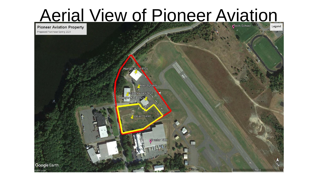# Aerial View of Pioneer Aviation Property

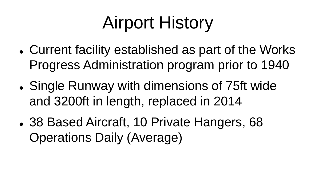### Airport History

- Current facility established as part of the Works Progress Administration program prior to 1940
- Single Runway with dimensions of 75ft wide and 3200ft in length, replaced in 2014
- 38 Based Aircraft, 10 Private Hangers, 68 Operations Daily (Average)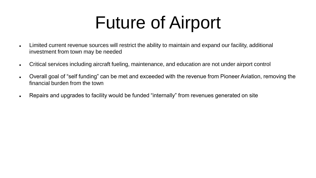#### Future of Airport

- Limited current revenue sources will restrict the ability to maintain and expand our facility, additional investment from town may be needed
- Critical services including aircraft fueling, maintenance, and education are not under airport control
- Overall goal of "self funding" can be met and exceeded with the revenue from Pioneer Aviation, removing the financial burden from the town
- Repairs and upgrades to facility would be funded "internally" from revenues generated on site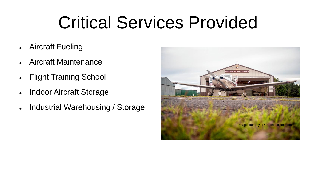#### Critical Services Provided

- Aircraft Fueling
- Aircraft Maintenance
- Flight Training School
- Indoor Aircraft Storage
- Industrial Warehousing / Storage

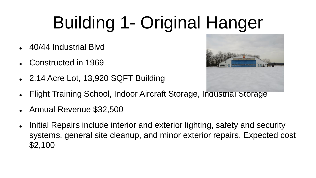# Building 1- Original Hanger

- 40/44 Industrial Blvd
- Constructed in 1969
- 2.14 Acre Lot, 13,920 SQFT Building



- Flight Training School, Indoor Aircraft Storage, Industrial Storage
- Annual Revenue \$32,500
- Initial Repairs include interior and exterior lighting, safety and security systems, general site cleanup, and minor exterior repairs. Expected cost \$2,100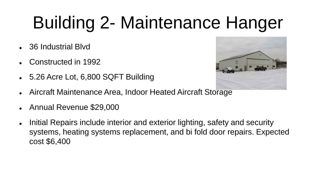## Building 2- Maintenance Hanger

- 36 Industrial Blvd
- Constructed in 1992
- 5.26 Acre Lot, 6,800 SQFT Building



- Aircraft Maintenance Area, Indoor Heated Aircraft Storage
- Annual Revenue \$29,000
- Initial Repairs include interior and exterior lighting, safety and security systems, heating systems replacement, and bi fold door repairs. Expected cost \$6,400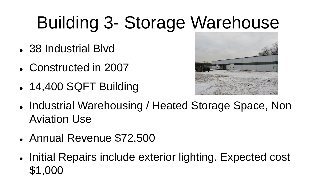## Building 3- Storage Warehouse

- 38 Industrial Blvd
- Constructed in 2007
- 14,400 SQFT Building



- Industrial Warehousing / Heated Storage Space, Non Aviation Use
- Annual Revenue \$72,500
- Initial Repairs include exterior lighting. Expected cost \$1,000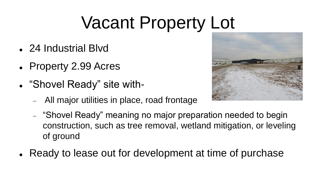## Vacant Property Lot

- 24 Industrial Blvd
- Property 2.99 Acres
- "Shovel Ready" site with-
	- All major utilities in place, road frontage
	- "Shovel Ready" meaning no major preparation needed to begin construction, such as tree removal, wetland mitigation, or leveling of ground
- Ready to lease out for development at time of purchase

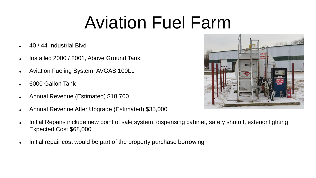#### Aviation Fuel Farm

- 40 / 44 Industrial Blvd
- Installed 2000 / 2001, Above Ground Tank
- Aviation Fueling System, AVGAS 100LL
- 6000 Gallon Tank
- Annual Revenue (Estimated) \$18,700
- Annual Revenue After Upgrade (Estimated) \$35,000



- Initial Repairs include new point of sale system, dispensing cabinet, safety shutoff, exterior lighting. Expected Cost \$68,000
- . Initial repair cost would be part of the property purchase borrowing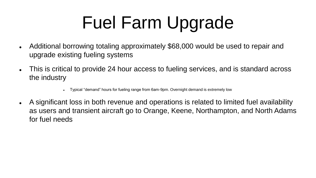## Fuel Farm Upgrade

- Additional borrowing totaling approximately \$68,000 would be used to repair and upgrade existing fueling systems
- This is critical to provide 24 hour access to fueling services, and is standard across the industry
	- Typical "demand" hours for fueling range from 6am-9pm. Overnight demand is extremely low
- A significant loss in both revenue and operations is related to limited fuel availability as users and transient aircraft go to Orange, Keene, Northampton, and North Adams for fuel needs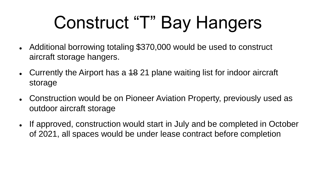### Construct "T" Bay Hangers

- Additional borrowing totaling \$370,000 would be used to construct aircraft storage hangers.
- Currently the Airport has a 48 21 plane waiting list for indoor aircraft storage
- Construction would be on Pioneer Aviation Property, previously used as outdoor aircraft storage
- If approved, construction would start in July and be completed in October of 2021, all spaces would be under lease contract before completion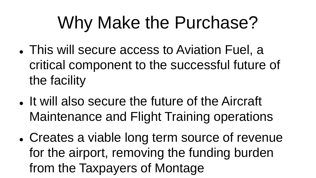### Why Make the Purchase?

- This will secure access to Aviation Fuel, a critical component to the successful future of the facility
- It will also secure the future of the Aircraft Maintenance and Flight Training operations
- Creates a viable long term source of revenue for the airport, removing the funding burden from the Taxpayers of Montage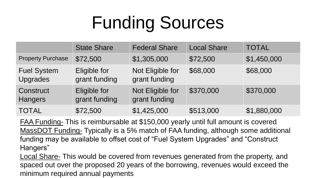## Funding Sources

|                                       | <b>State Share</b>            | <b>Federal Share</b>              | <b>Local Share</b> | <b>TOTAL</b> |
|---------------------------------------|-------------------------------|-----------------------------------|--------------------|--------------|
| <b>Property Purchase</b>              | \$72,500                      | \$1,305,000                       | \$72,500           | \$1,450,000  |
| <b>Fuel System</b><br><b>Upgrades</b> | Eligible for<br>grant funding | Not Eligible for<br>grant funding | \$68,000           | \$68,000     |
| Construct<br><b>Hangers</b>           | Eligible for<br>grant funding | Not Eligible for<br>grant funding | \$370,000          | \$370,000    |
| <b>TOTAL</b>                          | \$72,500                      | \$1,425,000                       | \$513,000          | \$1,880,000  |

FAA Funding- This is reimbursable at \$150,000 yearly until full amount is covered MassDOT Funding- Typically is a 5% match of FAA funding, although some additional funding may be available to offset cost of "Fuel System Upgrades" and "Construct Hangers"

Local Share- This would be covered from revenues generated from the property, and spaced out over the proposed 20 years of the borrowing, revenues would exceed the minimum required annual payments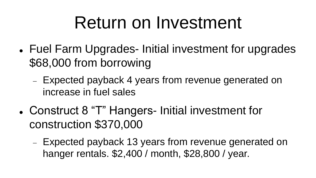#### Return on Investment

- Fuel Farm Upgrades- Initial investment for upgrades \$68,000 from borrowing
	- Expected payback 4 years from revenue generated on increase in fuel sales
- Construct 8 "T" Hangers- Initial investment for construction \$370,000
	- Expected payback 13 years from revenue generated on hanger rentals. \$2,400 / month, \$28,800 / year.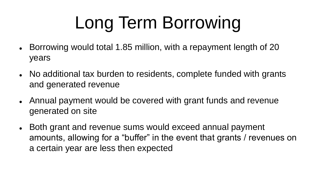# Long Term Borrowing

- Borrowing would total 1.85 million, with a repayment length of 20 years
- No additional tax burden to residents, complete funded with grants and generated revenue
- Annual payment would be covered with grant funds and revenue generated on site
- Both grant and revenue sums would exceed annual payment amounts, allowing for a "buffer" in the event that grants / revenues on a certain year are less then expected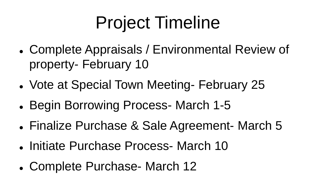## Project Timeline

- Complete Appraisals / Environmental Review of property- February 10
- Vote at Special Town Meeting- February 25
- Begin Borrowing Process- March 1-5
- Finalize Purchase & Sale Agreement- March 5
- Initiate Purchase Process- March 10
- Complete Purchase- March 12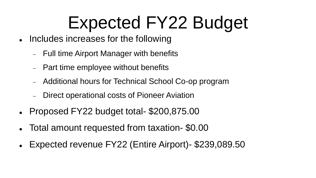#### Expected FY22 Budget

- Includes increases for the following
	- Full time Airport Manager with benefits
	- Part time employee without benefits
	- Additional hours for Technical School Co-op program
	- Direct operational costs of Pioneer Aviation
- Proposed FY22 budget total- \$200,875.00
- Total amount requested from taxation- \$0.00
- Expected revenue FY22 (Entire Airport)- \$239,089.50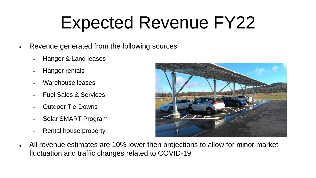#### Expected Revenue FY22

- Revenue generated from the following sources
	- Hanger & Land leases
	- Hanger rentals
	- Warehouse leases
	- Fuel Sales & Services
	- Outdoor Tie-Downs
	- Solar SMART Program
	- Rental house property



 All revenue estimates are 10% lower then projections to allow for minor market fluctuation and traffic changes related to COVID-19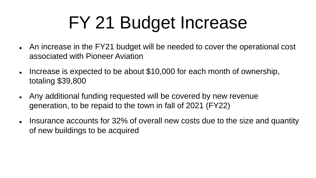## FY 21 Budget Increase

- An increase in the FY21 budget will be needed to cover the operational cost associated with Pioneer Aviation
- Increase is expected to be about \$10,000 for each month of ownership, totaling \$39,800
- Any additional funding requested will be covered by new revenue generation, to be repaid to the town in fall of 2021 (FY22)
- Insurance accounts for 32% of overall new costs due to the size and quantity of new buildings to be acquired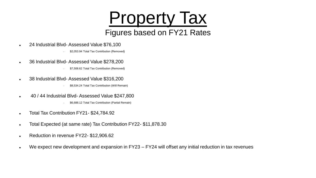#### **Property Tax** Figures based on FY21 Rates

24 Industrial Blvd- Assessed Value \$76,100

\$2,053.94 Total Tax Contribution (Removed)

36 Industrial Blvd- Assessed Value \$278,200

\$7,508.62 Total Tax Contribution (Removed)

38 Industrial Blvd- Assessed Value \$316,200

\$8,534.24 Total Tax Contribution (Will Remain)

40 / 44 Industrial Blvd- Assessed Value \$247,800

\$6,688.12 Total Tax Contribution (Partial Remain)

- Total Tax Contribution FY21- \$24,784.92
- Total Expected (at same rate) Tax Contribution FY22- \$11,878.30
- **Reduction in revenue FY22- \$12,906.62**
- We expect new development and expansion in FY23 FY24 will offset any initial reduction in tax revenues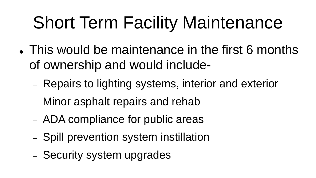## Short Term Facility Maintenance

- This would be maintenance in the first 6 months of ownership and would include-
	- Repairs to lighting systems, interior and exterior
	- Minor asphalt repairs and rehab
	- ADA compliance for public areas
	- Spill prevention system instillation
	- Security system upgrades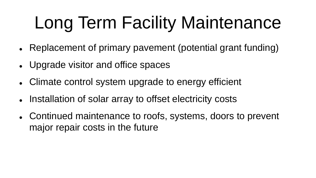## Long Term Facility Maintenance

- Replacement of primary pavement (potential grant funding)
- Upgrade visitor and office spaces
- Climate control system upgrade to energy efficient
- Installation of solar array to offset electricity costs
- Continued maintenance to roofs, systems, doors to prevent major repair costs in the future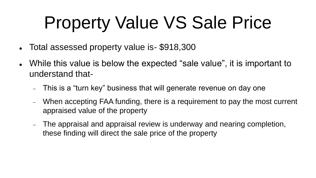## Property Value VS Sale Price

- Total assessed property value is- \$918,300
- While this value is below the expected "sale value", it is important to understand that-
	- This is a "turn key" business that will generate revenue on day one
	- When accepting FAA funding, there is a requirement to pay the most current appraised value of the property
	- The appraisal and appraisal review is underway and nearing completion, these finding will direct the sale price of the property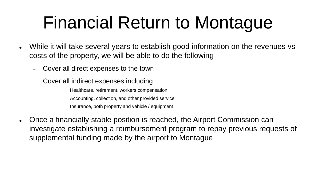### Financial Return to Montague

- While it will take several years to establish good information on the revenues vs costs of the property, we will be able to do the following-
	- Cover all direct expenses to the town
	- Cover all indirect expenses including
		- Healthcare, retirement, workers compensation
		- Accounting, collection, and other provided service
		- Insurance, both property and vehicle / equipment
- Once a financially stable position is reached, the Airport Commission can investigate establishing a reimbursement program to repay previous requests of supplemental funding made by the airport to Montague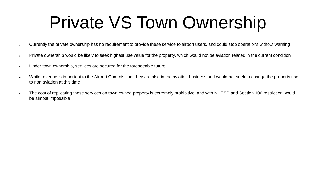#### Private VS Town Ownership

- Currently the private ownership has no requirement to provide these service to airport users, and could stop operations without warning
- . Private ownership would be likely to seek highest use value for the property, which would not be aviation related in the current condition
- Under town ownership, services are secured for the foreseeable future
- While revenue is important to the Airport Commission, they are also in the aviation business and would not seek to change the property use to non aviation at this time
- The cost of replicating these services on town owned property is extremely prohibitive, and with NHESP and Section 106 restriction would be almost impossible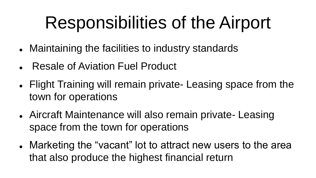#### Responsibilities of the Airport

- Maintaining the facilities to industry standards
- Resale of Aviation Fuel Product
- Flight Training will remain private- Leasing space from the town for operations
- Aircraft Maintenance will also remain private- Leasing space from the town for operations
- Marketing the "vacant" lot to attract new users to the area that also produce the highest financial return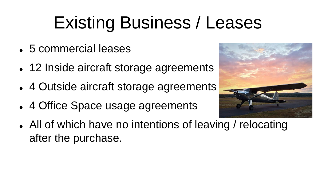## Existing Business / Leases

- 5 commercial leases
- 12 Inside aircraft storage agreements
- 4 Outside aircraft storage agreements
- 4 Office Space usage agreements



 All of which have no intentions of leaving / relocating after the purchase.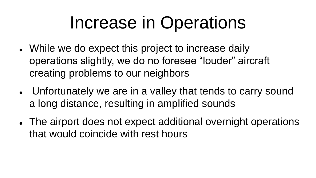#### Increase in Operations

- While we do expect this project to increase daily operations slightly, we do no foresee "louder" aircraft creating problems to our neighbors
- Unfortunately we are in a valley that tends to carry sound a long distance, resulting in amplified sounds
- The airport does not expect additional overnight operations that would coincide with rest hours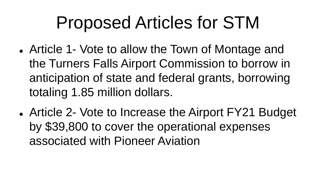#### Proposed Articles for STM

- Article 1- Vote to allow the Town of Montage and the Turners Falls Airport Commission to borrow in anticipation of state and federal grants, borrowing totaling 1.85 million dollars.
- Article 2- Vote to Increase the Airport FY21 Budget by \$39,800 to cover the operational expenses associated with Pioneer Aviation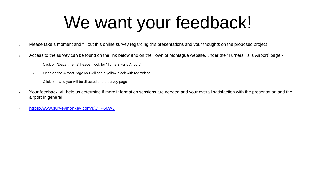#### We want your feedback!

- Please take a moment and fill out this online survey regarding this presentations and your thoughts on the proposed project
- Access to the survey can be found on the link below and on the Town of Montague website, under the "Turners Falls Airport" page
	- Click on "Departments" header, look for "Turners Falls Airport"
	- Once on the Airport Page you will see a yellow block with red writing
	- Click on it and you will be directed to the survey page
- Your feedback will help us determine if more information sessions are needed and your overall satisfaction with the presentation and the airport in general
- <https://www.surveymonkey.com/r/CTP66WJ>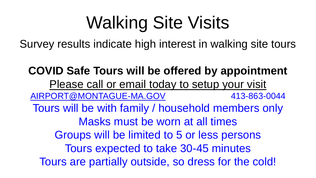## Walking Site Visits

Survey results indicate high interest in walking site tours

**COVID Safe Tours will be offered by appointment** Please call or email today to setup your visit [AIRPORT@MONTAGUE-MA.GOV](mailto:AIRPORT@MONTAGUE-MA.GOV) 413-863-0044 Tours will be with family / household members only Masks must be worn at all times Groups will be limited to 5 or less persons Tours expected to take 30-45 minutes Tours are partially outside, so dress for the cold!